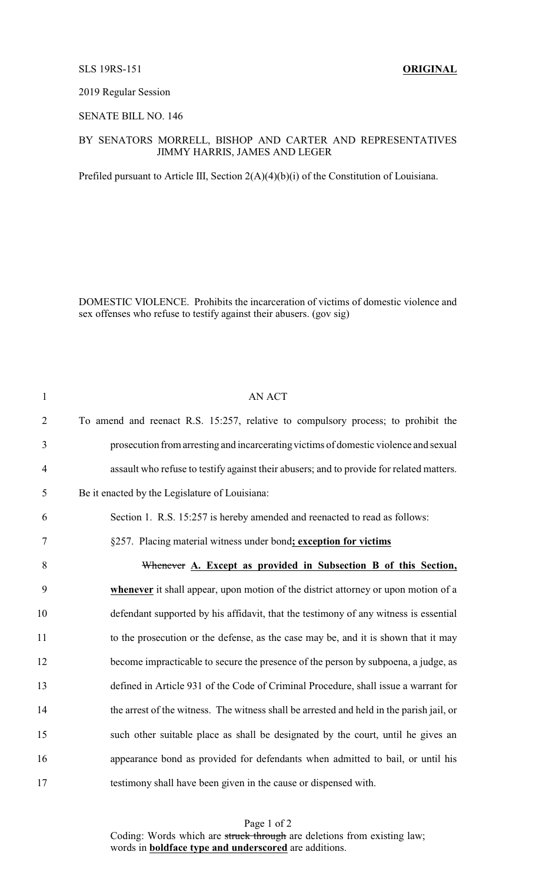### SLS 19RS-151 **ORIGINAL**

#### 2019 Regular Session

## SENATE BILL NO. 146

# BY SENATORS MORRELL, BISHOP AND CARTER AND REPRESENTATIVES JIMMY HARRIS, JAMES AND LEGER

Prefiled pursuant to Article III, Section 2(A)(4)(b)(i) of the Constitution of Louisiana.

DOMESTIC VIOLENCE. Prohibits the incarceration of victims of domestic violence and sex offenses who refuse to testify against their abusers. (gov sig)

| $\mathbf{1}$   | <b>AN ACT</b>                                                                            |
|----------------|------------------------------------------------------------------------------------------|
| $\overline{2}$ | To amend and reenact R.S. 15:257, relative to compulsory process; to prohibit the        |
| 3              | prosecution from arresting and incarcerating victims of domestic violence and sexual     |
| $\overline{4}$ | assault who refuse to testify against their abusers; and to provide for related matters. |
| 5              | Be it enacted by the Legislature of Louisiana:                                           |
| 6              | Section 1. R.S. 15:257 is hereby amended and reenacted to read as follows:               |
| 7              | §257. Placing material witness under bond; exception for victims                         |
| 8              | Whenever A. Except as provided in Subsection B of this Section,                          |
| 9              | whenever it shall appear, upon motion of the district attorney or upon motion of a       |
| 10             | defendant supported by his affidavit, that the testimony of any witness is essential     |
| 11             | to the prosecution or the defense, as the case may be, and it is shown that it may       |
| 12             | become impracticable to secure the presence of the person by subpoena, a judge, as       |
| 13             | defined in Article 931 of the Code of Criminal Procedure, shall issue a warrant for      |
| 14             | the arrest of the witness. The witness shall be arrested and held in the parish jail, or |
| 15             | such other suitable place as shall be designated by the court, until he gives an         |
| 16             | appearance bond as provided for defendants when admitted to bail, or until his           |
| 17             | testimony shall have been given in the cause or dispensed with.                          |

Page 1 of 2 Coding: Words which are struck through are deletions from existing law; words in **boldface type and underscored** are additions.